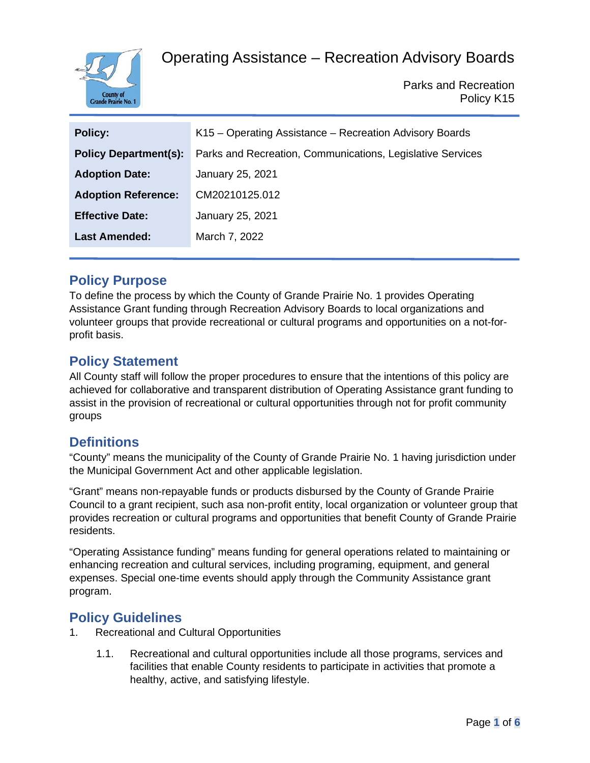

Parks and Recreation Policy K15

| <b>Policy:</b>               | K15 - Operating Assistance - Recreation Advisory Boards    |
|------------------------------|------------------------------------------------------------|
| <b>Policy Department(s):</b> | Parks and Recreation, Communications, Legislative Services |
| <b>Adoption Date:</b>        | January 25, 2021                                           |
| <b>Adoption Reference:</b>   | CM20210125.012                                             |
| <b>Effective Date:</b>       | January 25, 2021                                           |
| <b>Last Amended:</b>         | March 7, 2022                                              |
|                              |                                                            |

## **Policy Purpose**

To define the process by which the County of Grande Prairie No. 1 provides Operating Assistance Grant funding through Recreation Advisory Boards to local organizations and volunteer groups that provide recreational or cultural programs and opportunities on a not-forprofit basis.

## **Policy Statement**

All County staff will follow the proper procedures to ensure that the intentions of this policy are achieved for collaborative and transparent distribution of Operating Assistance grant funding to assist in the provision of recreational or cultural opportunities through not for profit community groups

## **Definitions**

"County" means the municipality of the County of Grande Prairie No. 1 having jurisdiction under the Municipal Government Act and other applicable legislation.

"Grant" means non-repayable funds or products disbursed by the County of Grande Prairie Council to a grant recipient, such asa non-profit entity, local organization or volunteer group that provides recreation or cultural programs and opportunities that benefit County of Grande Prairie residents.

"Operating Assistance funding" means funding for general operations related to maintaining or enhancing recreation and cultural services, including programing, equipment, and general expenses. Special one-time events should apply through the Community Assistance grant program.

## **Policy Guidelines**

- 1. Recreational and Cultural Opportunities
	- 1.1. Recreational and cultural opportunities include all those programs, services and facilities that enable County residents to participate in activities that promote a healthy, active, and satisfying lifestyle.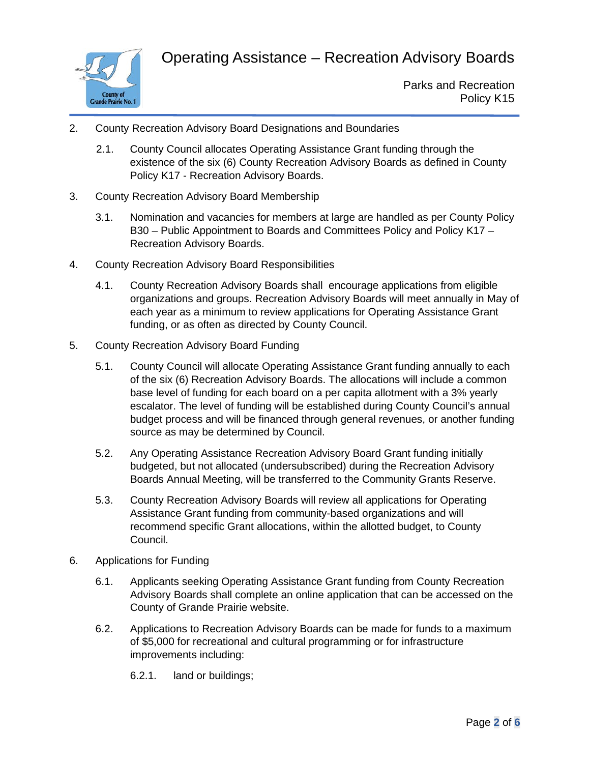

- 2. County Recreation Advisory Board Designations and Boundaries
	- 2.1. County Council allocates Operating Assistance Grant funding through the existence of the six (6) County Recreation Advisory Boards as defined in County Policy K17 - Recreation Advisory Boards.
- 3. County Recreation Advisory Board Membership
	- 3.1. Nomination and vacancies for members at large are handled as per County Policy B30 – Public Appointment to Boards and Committees Policy and Policy K17 – Recreation Advisory Boards.
- 4. County Recreation Advisory Board Responsibilities
	- 4.1. County Recreation Advisory Boards shall encourage applications from eligible organizations and groups. Recreation Advisory Boards will meet annually in May of each year as a minimum to review applications for Operating Assistance Grant funding, or as often as directed by County Council.
- 5. County Recreation Advisory Board Funding
	- 5.1. County Council will allocate Operating Assistance Grant funding annually to each of the six (6) Recreation Advisory Boards. The allocations will include a common base level of funding for each board on a per capita allotment with a 3% yearly escalator. The level of funding will be established during County Council's annual budget process and will be financed through general revenues, or another funding source as may be determined by Council.
	- 5.2. Any Operating Assistance Recreation Advisory Board Grant funding initially budgeted, but not allocated (undersubscribed) during the Recreation Advisory Boards Annual Meeting, will be transferred to the Community Grants Reserve.
	- 5.3. County Recreation Advisory Boards will review all applications for Operating Assistance Grant funding from community-based organizations and will recommend specific Grant allocations, within the allotted budget, to County Council.
- 6. Applications for Funding
	- 6.1. Applicants seeking Operating Assistance Grant funding from County Recreation Advisory Boards shall complete an online application that can be accessed on the County of Grande Prairie website.
	- 6.2. Applications to Recreation Advisory Boards can be made for funds to a maximum of \$5,000 for recreational and cultural programming or for infrastructure improvements including:
		- 6.2.1. land or buildings;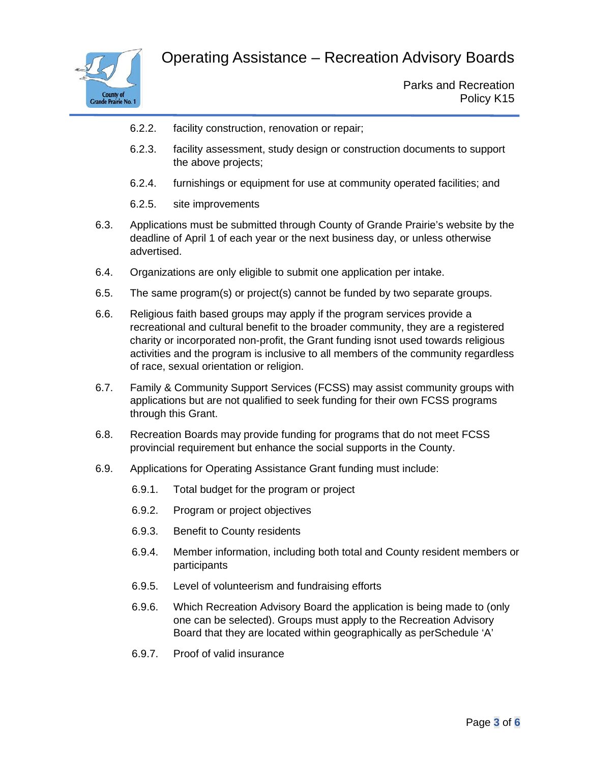

- 6.2.2. facility construction, renovation or repair;
- 6.2.3. facility assessment, study design or construction documents to support the above projects;
- 6.2.4. furnishings or equipment for use at community operated facilities; and
- 6.2.5. site improvements
- 6.3. Applications must be submitted through County of Grande Prairie's website by the deadline of April 1 of each year or the next business day, or unless otherwise advertised.
- 6.4. Organizations are only eligible to submit one application per intake.
- 6.5. The same program(s) or project(s) cannot be funded by two separate groups.
- 6.6. Religious faith based groups may apply if the program services provide a recreational and cultural benefit to the broader community, they are a registered charity or incorporated non-profit, the Grant funding isnot used towards religious activities and the program is inclusive to all members of the community regardless of race, sexual orientation or religion.
- 6.7. Family & Community Support Services (FCSS) may assist community groups with applications but are not qualified to seek funding for their own FCSS programs through this Grant.
- 6.8. Recreation Boards may provide funding for programs that do not meet FCSS provincial requirement but enhance the social supports in the County.
- 6.9. Applications for Operating Assistance Grant funding must include:
	- 6.9.1. Total budget for the program or project
	- 6.9.2. Program or project objectives
	- 6.9.3. Benefit to County residents
	- 6.9.4. Member information, including both total and County resident members or participants
	- 6.9.5. Level of volunteerism and fundraising efforts
	- 6.9.6. Which Recreation Advisory Board the application is being made to (only one can be selected). Groups must apply to the Recreation Advisory Board that they are located within geographically as perSchedule 'A'
	- 6.9.7. Proof of valid insurance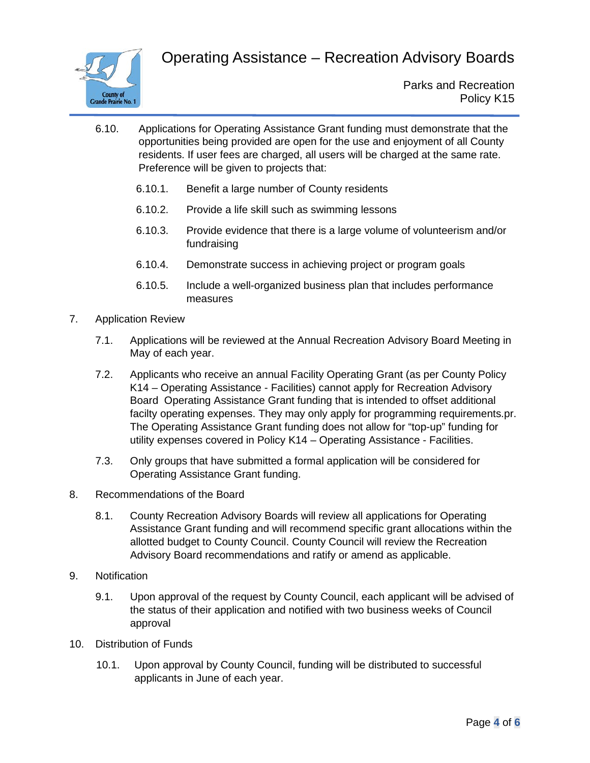

- 6.10. Applications for Operating Assistance Grant funding must demonstrate that the opportunities being provided are open for the use and enjoyment of all County residents. If user fees are charged, all users will be charged at the same rate. Preference will be given to projects that:
	- 6.10.1. Benefit a large number of County residents
	- 6.10.2. Provide a life skill such as swimming lessons
	- 6.10.3. Provide evidence that there is a large volume of volunteerism and/or fundraising
	- 6.10.4. Demonstrate success in achieving project or program goals
	- 6.10.5. Include a well-organized business plan that includes performance measures
- 7. Application Review
	- 7.1. Applications will be reviewed at the Annual Recreation Advisory Board Meeting in May of each year.
	- 7.2. Applicants who receive an annual Facility Operating Grant (as per County Policy K14 – Operating Assistance - Facilities) cannot apply for Recreation Advisory Board Operating Assistance Grant funding that is intended to offset additional facilty operating expenses. They may only apply for programming requirements.pr. The Operating Assistance Grant funding does not allow for "top-up" funding for utility expenses covered in Policy K14 – Operating Assistance - Facilities.
	- 7.3. Only groups that have submitted a formal application will be considered for Operating Assistance Grant funding.
- 8. Recommendations of the Board
	- 8.1. County Recreation Advisory Boards will review all applications for Operating Assistance Grant funding and will recommend specific grant allocations within the allotted budget to County Council. County Council will review the Recreation Advisory Board recommendations and ratify or amend as applicable.
- 9. Notification
	- 9.1. Upon approval of the request by County Council, each applicant will be advised of the status of their application and notified with two business weeks of Council approval
- 10. Distribution of Funds
	- 10.1. Upon approval by County Council, funding will be distributed to successful applicants in June of each year.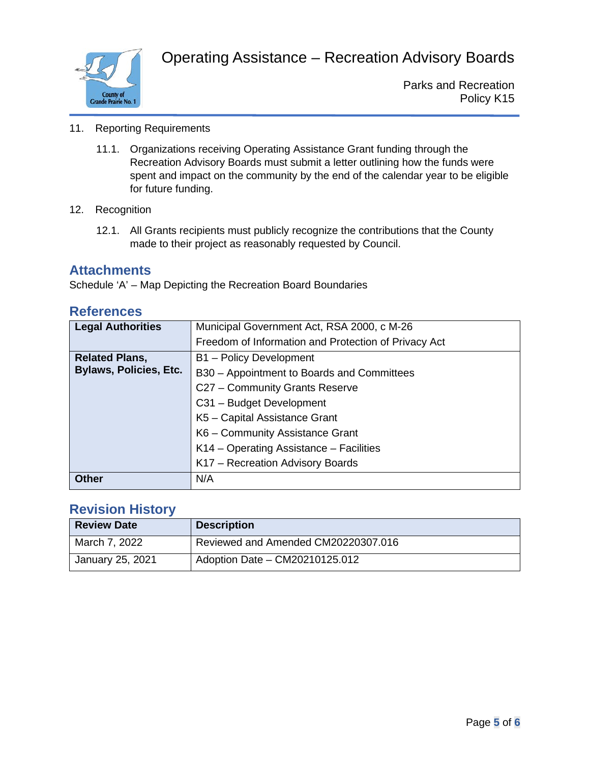

Parks and Recreation Policy K15

- 11. Reporting Requirements
	- 11.1. Organizations receiving Operating Assistance Grant funding through the Recreation Advisory Boards must submit a letter outlining how the funds were spent and impact on the community by the end of the calendar year to be eligible for future funding.
- 12. Recognition
	- 12.1. All Grants recipients must publicly recognize the contributions that the County made to their project as reasonably requested by Council.

#### **Attachments**

Schedule 'A' – Map Depicting the Recreation Board Boundaries

| <b>Legal Authorities</b>      | Municipal Government Act, RSA 2000, c M-26           |
|-------------------------------|------------------------------------------------------|
|                               | Freedom of Information and Protection of Privacy Act |
| <b>Related Plans,</b>         | B1 - Policy Development                              |
| <b>Bylaws, Policies, Etc.</b> | B30 - Appointment to Boards and Committees           |
|                               | C27 - Community Grants Reserve                       |
|                               | C31 - Budget Development                             |
|                               | K5 - Capital Assistance Grant                        |
|                               | K6 - Community Assistance Grant                      |
|                               | K14 – Operating Assistance – Facilities              |
|                               | K17 - Recreation Advisory Boards                     |
| <b>Other</b>                  | N/A                                                  |

#### **References**

#### **Revision History**

| <b>Review Date</b> | <b>Description</b>                  |
|--------------------|-------------------------------------|
| March 7, 2022      | Reviewed and Amended CM20220307.016 |
| January 25, 2021   | Adoption Date - CM20210125.012      |